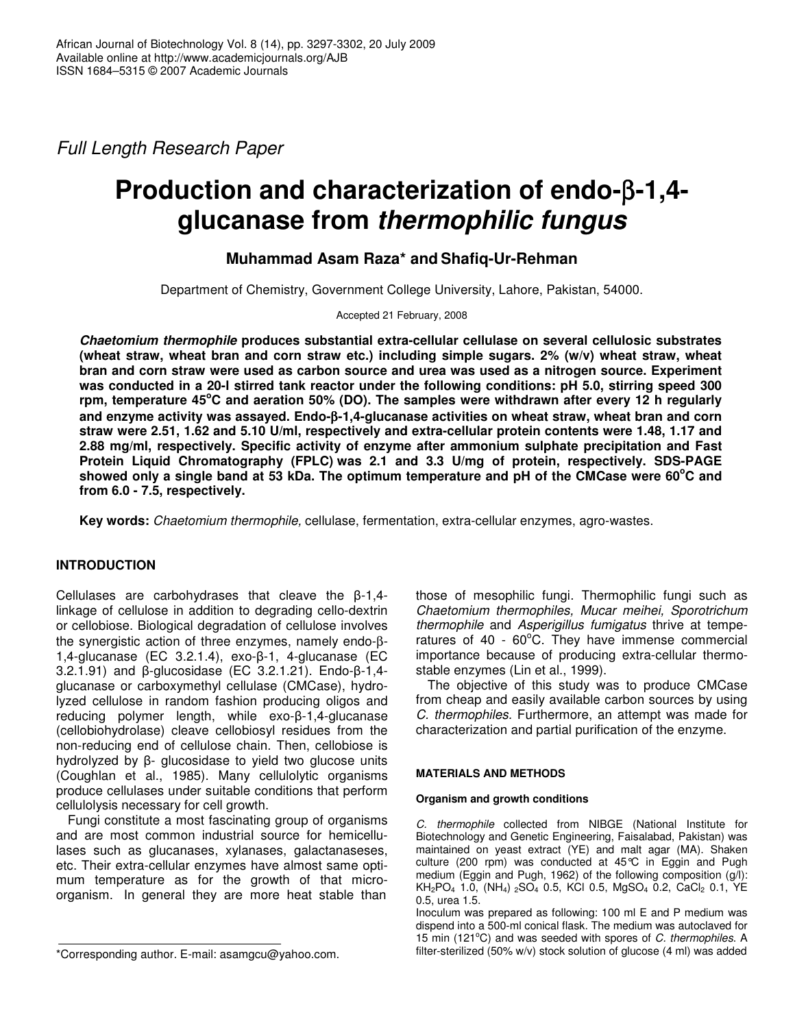*Full Length Research Paper*

# **Production and characterization of endo-**β**-1,4 glucanase from** *thermophilic fungus*

## **Muhammad Asam Raza\* and Shafiq-Ur-Rehman**

Department of Chemistry, Government College University, Lahore, Pakistan, 54000.

Accepted 21 February, 2008

*Chaetomium thermophile* **produces substantial extra-cellular cellulase on several cellulosic substrates (wheat straw, wheat bran and corn straw etc.) including simple sugars. 2% (w/v) wheat straw, wheat bran and corn straw were used as carbon source and urea was used as a nitrogen source. Experiment was conducted in a 20-l stirred tank reactor under the following conditions: pH 5.0, stirring speed 300** rpm, temperature 45°C and aeration 50% (DO). The samples were withdrawn after every 12 h regularly **and enzyme activity was assayed. Endo-**β**-1,4-glucanase activities on wheat straw, wheat bran and corn straw were 2.51, 1.62 and 5.10 U/ml, respectively and extra-cellular protein contents were 1.48, 1.17 and 2.88 mg/ml, respectively. Specific activity of enzyme after ammonium sulphate precipitation and Fast Protein Liquid Chromatography (FPLC) was 2.1 and 3.3 U/mg of protein, respectively. SDS-PAGE** showed only a single band at 53 kDa. The optimum temperature and pH of the CMCase were 60°C and **from 6.0 - 7.5, respectively.**

**Key words:** *Chaetomium thermophile,* cellulase, fermentation, extra-cellular enzymes, agro-wastes.

## **INTRODUCTION**

Cellulases are carbohydrases that cleave the  $\beta$ -1,4linkage of cellulose in addition to degrading cello-dextrin or cellobiose. Biological degradation of cellulose involves the synergistic action of three enzymes, namely endo-β- $1,4$ -glucanase (EC 3.2.1.4), exo- $\beta$ -1, 4-glucanase (EC  $3.2.1.91$ ) and  $\beta$ -glucosidase (EC  $3.2.1.21$ ). Endo- $\beta$ -1,4glucanase or carboxymethyl cellulase (CMCase), hydrolyzed cellulose in random fashion producing oligos and reducing polymer length, while  $exo-\beta-1$ , 4-glucanase (cellobiohydrolase) cleave cellobiosyl residues from the non-reducing end of cellulose chain. Then, cellobiose is hydrolyzed by  $\beta$ - glucosidase to yield two glucose units (Coughlan et al., 1985). Many cellulolytic organisms produce cellulases under suitable conditions that perform cellulolysis necessary for cell growth.

Fungi constitute a most fascinating group of organisms and are most common industrial source for hemicellulases such as glucanases, xylanases, galactanaseses, etc. Their extra-cellular enzymes have almost same optimum temperature as for the growth of that microorganism. In general they are more heat stable than

those of mesophilic fungi. Thermophilic fungi such as *Chaetomium thermophiles, Mucar meihei, Sporotrichum thermophile* and *Asperigillus fumigatus* thrive at temperatures of 40 -  $60^{\circ}$ C. They have immense commercial importance because of producing extra-cellular thermostable enzymes (Lin et al., 1999).

The objective of this study was to produce CMCase from cheap and easily available carbon sources by using *C. thermophiles.* Furthermore, an attempt was made for characterization and partial purification of the enzyme.

### **MATERIALS AND METHODS**

### **Organism and growth conditions**

*C. thermophile* collected from NIBGE (National Institute for Biotechnology and Genetic Engineering, Faisalabad, Pakistan) was maintained on yeast extract (YE) and malt agar (MA). Shaken culture (200 rpm) was conducted at 45°C in Eggin and Pugh medium (Eggin and Pugh, 1962) of the following composition (g/l): KH<sub>2</sub>PO<sub>4</sub> 1.0, (NH<sub>4</sub>) <sub>2</sub>SO<sub>4</sub> 0.5, KCl 0.5, MgSO<sub>4</sub> 0.2, CaCl<sub>2</sub> 0.1, YE 0.5, urea 1.5.

Inoculum was prepared as following: 100 ml E and P medium was dispend into a 500-ml conical flask. The medium was autoclaved for 15 min (121°C) and was seeded with spores of *C. thermophiles*. A filter-sterilized (50% w/v) stock solution of glucose (4 ml) was added

<sup>\*</sup>Corresponding author. E-mail: asamgcu@yahoo.com.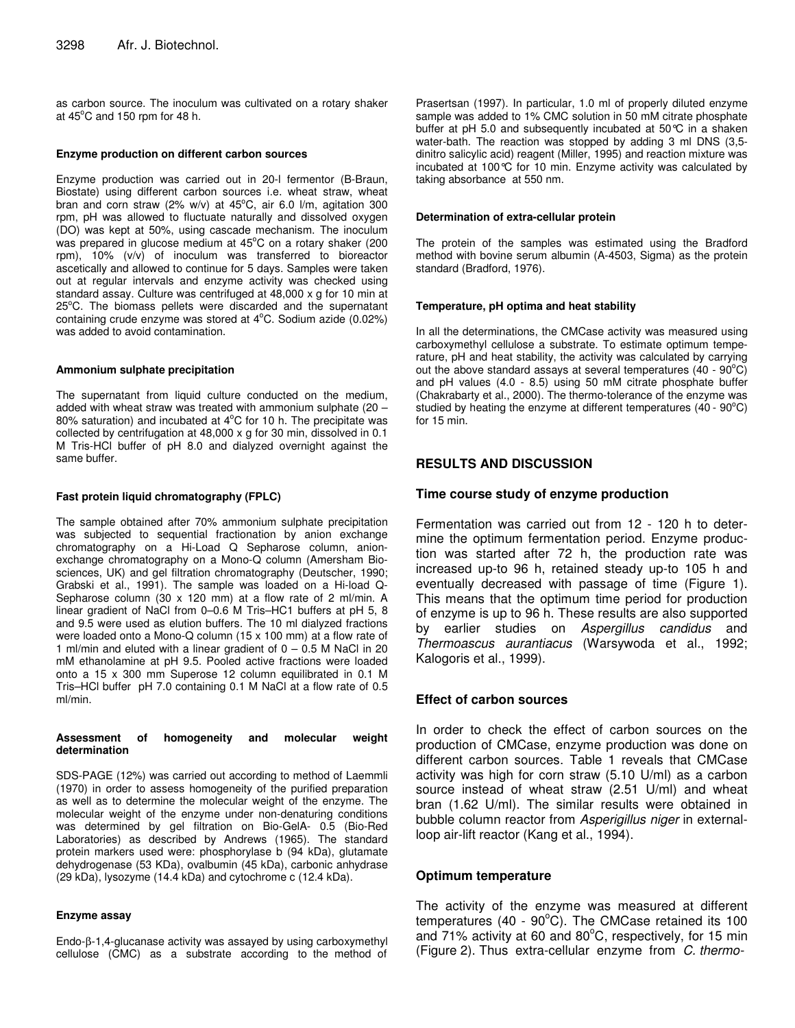as carbon source. The inoculum was cultivated on a rotary shaker at  $45^{\circ}$ C and 150 rpm for 48 h.

#### **Enzyme production on different carbon sources**

Enzyme production was carried out in 20-l fermentor (B-Braun, Biostate) using different carbon sources i.e. wheat straw, wheat bran and corn straw (2% w/v) at 45°C, air 6.0 l/m, agitation 300 rpm, pH was allowed to fluctuate naturally and dissolved oxygen (DO) was kept at 50%, using cascade mechanism. The inoculum was prepared in glucose medium at 45°C on a rotary shaker (200 rpm), 10% (v/v) of inoculum was transferred to bioreactor ascetically and allowed to continue for 5 days. Samples were taken out at regular intervals and enzyme activity was checked using standard assay. Culture was centrifuged at 48,000 x g for 10 min at 25°C. The biomass pellets were discarded and the supernatant containing crude enzyme was stored at 4°C. Sodium azide (0.02%) was added to avoid contamination.

#### **Ammonium sulphate precipitation**

The supernatant from liquid culture conducted on the medium, added with wheat straw was treated with ammonium sulphate (20 – 80% saturation) and incubated at  $4^{\circ}$ C for 10 h. The precipitate was collected by centrifugation at 48,000 x g for 30 min, dissolved in 0.1 M Tris-HCl buffer of pH 8.0 and dialyzed overnight against the same buffer.

#### **Fast protein liquid chromatography (FPLC)**

The sample obtained after 70% ammonium sulphate precipitation was subjected to sequential fractionation by anion exchange chromatography on a Hi-Load Q Sepharose column, anionexchange chromatography on a Mono-Q column (Amersham Biosciences, UK) and gel filtration chromatography (Deutscher, 1990; Grabski et al., 1991). The sample was loaded on a Hi-load Q-Sepharose column (30 x 120 mm) at a flow rate of 2 ml/min. A linear gradient of NaCl from 0–0.6 M Tris–HC1 buffers at pH 5, 8 and 9.5 were used as elution buffers. The 10 ml dialyzed fractions were loaded onto a Mono-Q column (15 x 100 mm) at a flow rate of 1 ml/min and eluted with a linear gradient of  $0 - 0.5$  M NaCl in 20 mM ethanolamine at pH 9.5. Pooled active fractions were loaded onto a 15 x 300 mm Superose 12 column equilibrated in 0.1 M Tris–HCl buffer pH 7.0 containing 0.1 M NaCl at a flow rate of 0.5 ml/min.

#### **Assessment of homogeneity and molecular weight determination**

SDS-PAGE (12%) was carried out according to method of Laemmli (1970) in order to assess homogeneity of the purified preparation as well as to determine the molecular weight of the enzyme. The molecular weight of the enzyme under non-denaturing conditions was determined by gel filtration on Bio-GelA- 0.5 (Bio-Red Laboratories) as described by Andrews (1965). The standard protein markers used were: phosphorylase b (94 kDa), glutamate dehydrogenase (53 KDa), ovalbumin (45 kDa), carbonic anhydrase (29 kDa), lysozyme (14.4 kDa) and cytochrome c (12.4 kDa).

#### **Enzyme assay**

Endo-β-1,4-glucanase activity was assayed by using carboxymethyl cellulose (CMC) as a substrate according to the method of

Prasertsan (1997). In particular, 1.0 ml of properly diluted enzyme sample was added to 1% CMC solution in 50 mM citrate phosphate buffer at pH 5.0 and subsequently incubated at 50°C in a shaken water-bath. The reaction was stopped by adding 3 ml DNS (3,5 dinitro salicylic acid) reagent (Miller, 1995) and reaction mixture was incubated at 100°C for 10 min. Enzyme activity was calculated by taking absorbance at 550 nm.

#### **Determination of extra-cellular protein**

The protein of the samples was estimated using the Bradford method with bovine serum albumin (A-4503, Sigma) as the protein standard (Bradford, 1976).

#### **Temperature, pH optima and heat stability**

In all the determinations, the CMCase activity was measured using carboxymethyl cellulose a substrate. To estimate optimum temperature, pH and heat stability, the activity was calculated by carrying out the above standard assays at several temperatures (40 -  $90^{\circ}$ C) and pH values (4.0 - 8.5) using 50 mM citrate phosphate buffer (Chakrabarty et al., 2000). The thermo-tolerance of the enzyme was studied by heating the enzyme at different temperatures  $(40 - 90^{\circ}C)$ for 15 min.

## **RESULTS AND DISCUSSION**

#### **Time course study of enzyme production**

Fermentation was carried out from 12 - 120 h to determine the optimum fermentation period. Enzyme production was started after 72 h, the production rate was increased up-to 96 h, retained steady up-to 105 h and eventually decreased with passage of time (Figure 1). This means that the optimum time period for production of enzyme is up to 96 h. These results are also supported by earlier studies on *Aspergillus candidus* and *Thermoascus aurantiacus* (Warsywoda et al., 1992; Kalogoris et al., 1999).

### **Effect of carbon sources**

In order to check the effect of carbon sources on the production of CMCase, enzyme production was done on different carbon sources. Table 1 reveals that CMCase activity was high for corn straw (5.10 U/ml) as a carbon source instead of wheat straw (2.51 U/ml) and wheat bran (1.62 U/ml). The similar results were obtained in bubble column reactor from *Asperigillus niger* in externalloop air-lift reactor (Kang et al., 1994).

## **Optimum temperature**

The activity of the enzyme was measured at different temperatures (40 - 90°C). The CMCase retained its 100 and 71% activity at 60 and 80°C, respectively, for 15 min (Figure 2). Thus extra-cellular enzyme from *C. thermo-*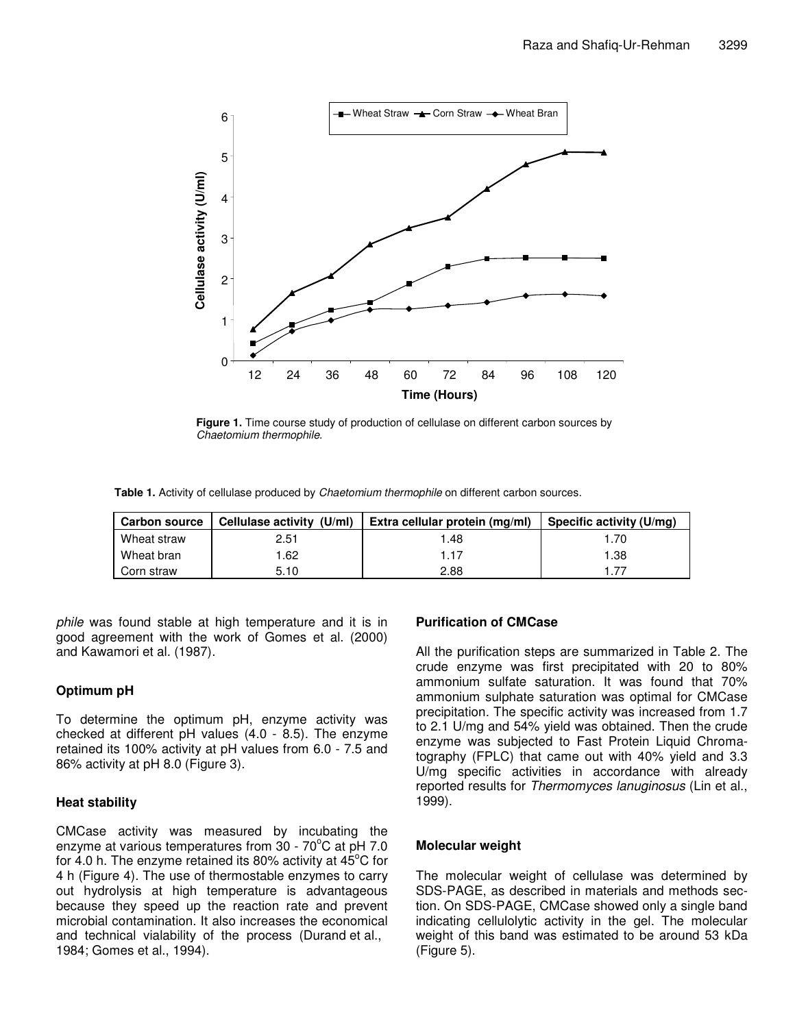

**Figure 1.** Time course study of production of cellulase on different carbon sources by *Chaetomium thermophile*.

**Table 1.** Activity of cellulase produced by *Chaetomium thermophile* on different carbon sources.

| <b>Carbon source</b> | Cellulase activity (U/ml) | Extra cellular protein (mg/ml) | Specific activity (U/mg) |  |
|----------------------|---------------------------|--------------------------------|--------------------------|--|
| Wheat straw          | 2.51                      | .48                            | .70                      |  |
| Wheat bran           | 1.62                      | 1.17                           | 1.38                     |  |
| Corn straw           | 5.10                      | 2.88                           | 177                      |  |

*phile* was found stable at high temperature and it is in good agreement with the work of Gomes et al. (2000) and Kawamori et al. (1987).

## **Optimum pH**

To determine the optimum pH, enzyme activity was checked at different pH values (4.0 - 8.5). The enzyme retained its 100% activity at pH values from 6.0 - 7.5 and 86% activity at pH 8.0 (Figure 3).

## **Heat stability**

CMCase activity was measured by incubating the enzyme at various temperatures from 30 - 70°C at pH 7.0 for 4.0 h. The enzyme retained its 80% activity at 45°C for 4 h (Figure 4). The use of thermostable enzymes to carry out hydrolysis at high temperature is advantageous because they speed up the reaction rate and prevent microbial contamination. It also increases the economical and technical vialability of the process (Durand et al., 1984; Gomes et al., 1994).

## **Purification of CMCase**

All the purification steps are summarized in Table 2. The crude enzyme was first precipitated with 20 to 80% ammonium sulfate saturation. It was found that 70% ammonium sulphate saturation was optimal for CMCase precipitation. The specific activity was increased from 1.7 to 2.1 U/mg and 54% yield was obtained. Then the crude enzyme was subjected to Fast Protein Liquid Chromatography (FPLC) that came out with 40% yield and 3.3 U/mg specific activities in accordance with already reported results for *Thermomyces lanuginosus* (Lin et al., 1999).

## **Molecular weight**

The molecular weight of cellulase was determined by SDS-PAGE, as described in materials and methods section. On SDS-PAGE, CMCase showed only a single band indicating cellulolytic activity in the gel. The molecular weight of this band was estimated to be around 53 kDa (Figure 5).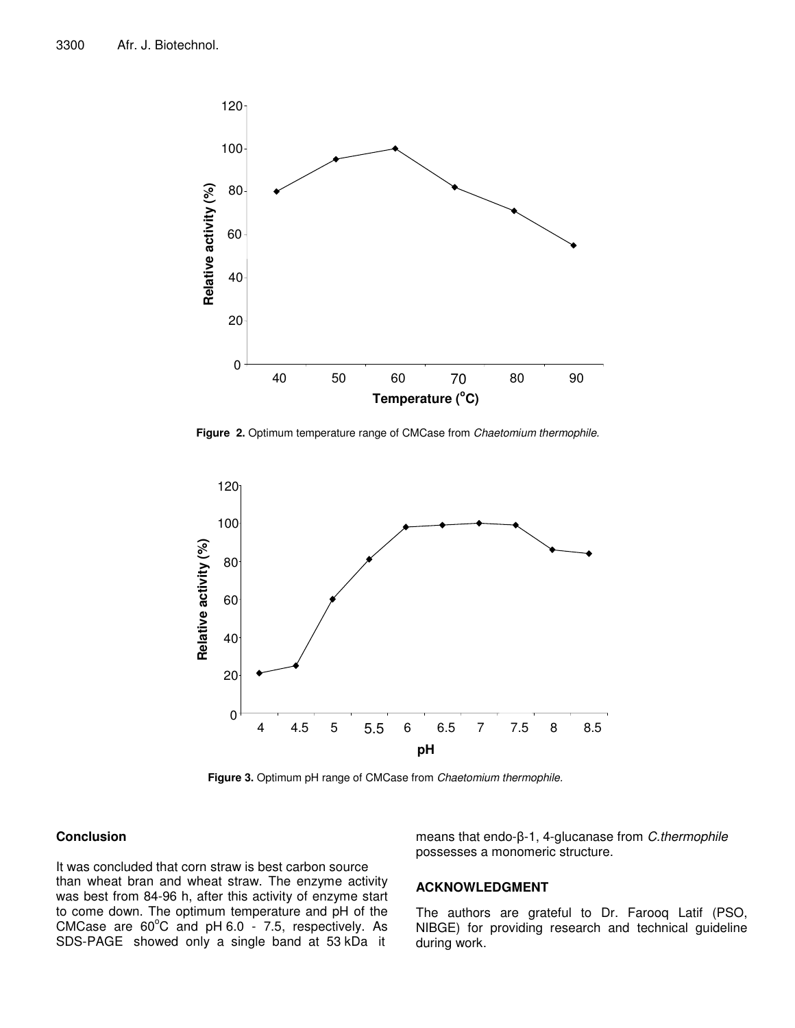

**Figure 2.** Optimum temperature range of CMCase from *Chaetomium thermophile.*



**Figure 3.** Optimum pH range of CMCase from *Chaetomium thermophile.*

## **Conclusion**

It was concluded that corn straw is best carbon source than wheat bran and wheat straw. The enzyme activity was best from 84-96 h, after this activity of enzyme start to come down. The optimum temperature and pH of the CMCase are  $60^{\circ}$ C and pH  $6.0$  - 7.5, respectively. As SDS-PAGE showed only a single band at 53 kDa it

means that endo-β-1, 4-glucanase from *C.thermophile* possesses a monomeric structure.

#### **ACKNOWLEDGMENT**

The authors are grateful to Dr. Farooq Latif (PSO, NIBGE) for providing research and technical guideline during work.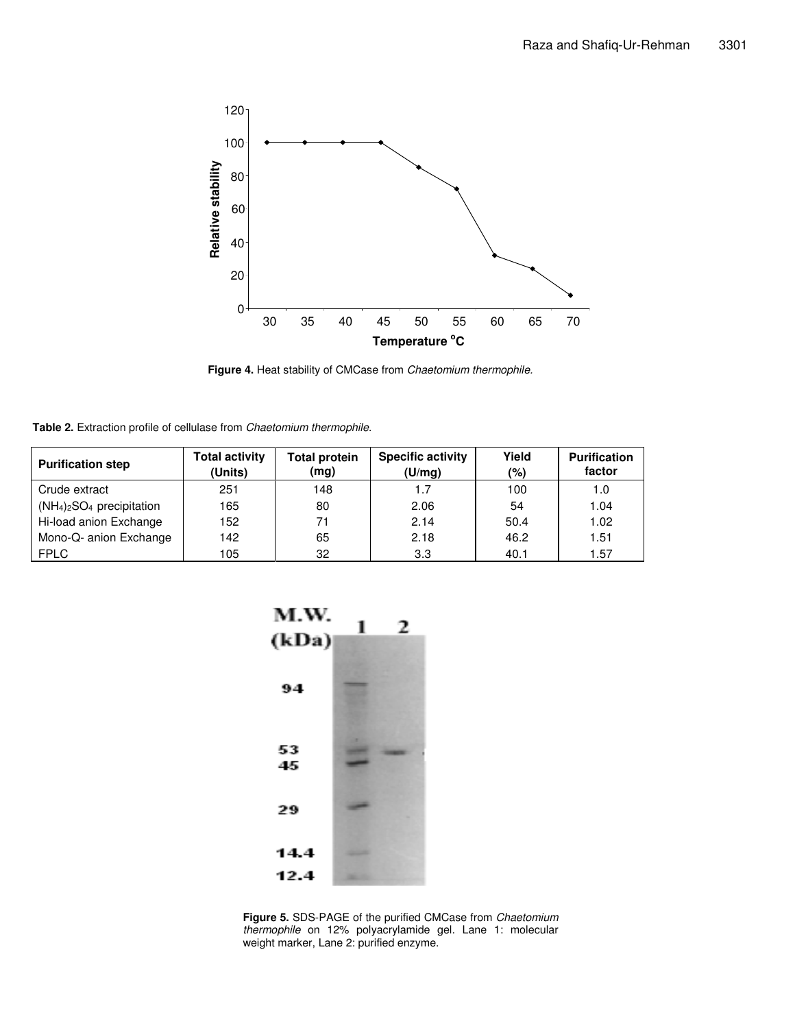

**Figure 4.** Heat stability of CMCase from *Chaetomium thermophile.*

**Table 2.** Extraction profile of cellulase from *Chaetomium thermophile.*

| <b>Purification step</b>  | Total activity<br>(Units) | <b>Total protein</b><br>(mg) | <b>Specific activity</b><br>(U/mg) | Yield<br>(%) | <b>Purification</b><br>factor |
|---------------------------|---------------------------|------------------------------|------------------------------------|--------------|-------------------------------|
| Crude extract             | 251                       | 148                          | 1.7                                | 100          | 1.0                           |
| $(NH4)2SO4$ precipitation | 165                       | 80                           | 2.06                               | 54           | 1.04                          |
| Hi-load anion Exchange    | 152                       | 71                           | 2.14                               | 50.4         | 1.02                          |
| Mono-Q- anion Exchange    | 142                       | 65                           | 2.18                               | 46.2         | 1.51                          |
| <b>FPLC</b>               | 105                       | 32                           | 3.3                                | 40.1         | .57                           |



**Figure 5.** SDS-PAGE of the purified CMCase from *Chaetomium thermophile* on 12% polyacrylamide gel. Lane 1: molecular weight marker, Lane 2: purified enzyme.